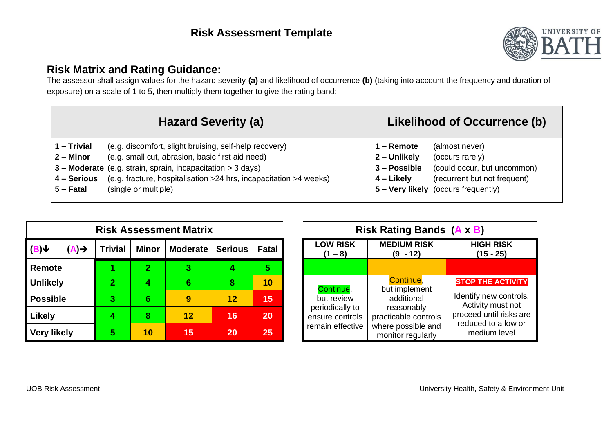# **Risk Assessment Template**



## **Risk Matrix and Rating Guidance:**

The assessor shall assign values for the hazard severity **(a)** and likelihood of occurrence **(b)** (taking into account the frequency and duration of exposure) on a scale of 1 to 5, then multiply them together to give the rating band:

|                                                        | <b>Hazard Severity (a)</b>                                                                                                                                                                                                                                             | Likelihood of Occurrence (b)                               |                                                                                                                                           |  |  |
|--------------------------------------------------------|------------------------------------------------------------------------------------------------------------------------------------------------------------------------------------------------------------------------------------------------------------------------|------------------------------------------------------------|-------------------------------------------------------------------------------------------------------------------------------------------|--|--|
| 1 – Trivial<br>2 – Minor<br>4 – Serious<br>$5 -$ Fatal | (e.g. discomfort, slight bruising, self-help recovery)<br>(e.g. small cut, abrasion, basic first aid need)<br>3 - Moderate (e.g. strain, sprain, incapacitation > 3 days)<br>(e.g. fracture, hospitalisation >24 hrs, incapacitation >4 weeks)<br>(single or multiple) | $1 -$ Remote<br>2 – Unlikely<br>3 - Possible<br>4 – Likely | (almost never)<br>(occurs rarely)<br>(could occur, but uncommon)<br>(recurrent but not frequent)<br>$5 -$ Very likely (occurs frequently) |  |  |

| <b>Risk Assessment Matrix</b>                           |                |              |                 |                | <b>Risk Rating Bands (A x B)</b> |  |                                                                                   |                                                                                |                          |
|---------------------------------------------------------|----------------|--------------|-----------------|----------------|----------------------------------|--|-----------------------------------------------------------------------------------|--------------------------------------------------------------------------------|--------------------------|
| $\mathsf{I}(\mathsf{B})\mathsf{V}$<br>$(A) \rightarrow$ | Trivial        | <b>Minor</b> | <b>Moderate</b> | <b>Serious</b> | <b>Fatal</b>                     |  | <b>LOW RISK</b><br>$(1 - 8)$                                                      | <b>MEDIUM RISK</b><br>$(9 - 12)$                                               | <b>HIG</b><br>(1)        |
| Remote                                                  |                | $2^{\circ}$  |                 |                | 5                                |  |                                                                                   |                                                                                |                          |
| <b>Unlikely</b>                                         | $\overline{2}$ |              | 6               | 8              | 10                               |  | Continue.<br>but review<br>periodically to<br>ensure controls<br>remain effective | Continue,<br>but implement<br>additional<br>reasonably<br>practicable controls | <b>STOP TI</b>           |
| <b>Possible</b>                                         | 3              | 6            | 9               | 12             | 15                               |  |                                                                                   |                                                                                | Identify r<br>Activit    |
| Likely                                                  |                | 8            | 12              | 16             | 20                               |  |                                                                                   |                                                                                | proceed<br>reduce<br>med |
| <b>Very likely</b>                                      | 5              | 10           | 15              | 20             | 25                               |  |                                                                                   | where possible and<br>monitor regularly                                        |                          |

| <b>Risk Rating Bands (A x B)</b>                                                  |                                                                                                                           |                                                                                                                                           |  |  |  |  |
|-----------------------------------------------------------------------------------|---------------------------------------------------------------------------------------------------------------------------|-------------------------------------------------------------------------------------------------------------------------------------------|--|--|--|--|
| <b>LOW RISK</b><br>$(1 - 8)$                                                      | <b>MEDIUM RISK</b><br>$(9 - 12)$                                                                                          | <b>HIGH RISK</b><br>$(15 - 25)$                                                                                                           |  |  |  |  |
|                                                                                   |                                                                                                                           |                                                                                                                                           |  |  |  |  |
| Continue,<br>but review<br>periodically to<br>ensure controls<br>remain effective | Continue,<br>but implement<br>additional<br>reasonably<br>practicable controls<br>where possible and<br>monitor regularly | <b>STOP THE ACTIVITY</b><br>Identify new controls.<br>Activity must not<br>proceed until risks are<br>reduced to a low or<br>medium level |  |  |  |  |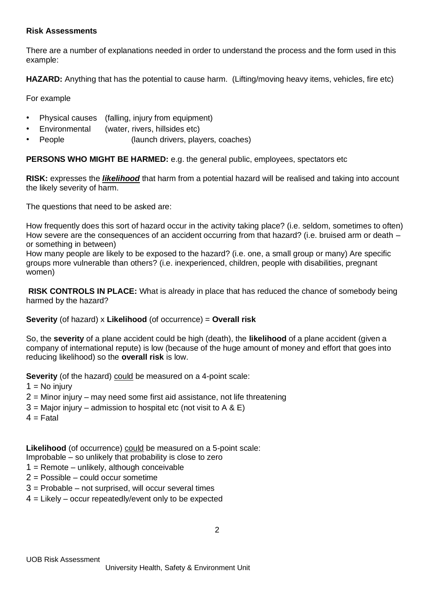#### **Risk Assessments**

There are a number of explanations needed in order to understand the process and the form used in this example:

**HAZARD:** Anything that has the potential to cause harm. (Lifting/moving heavy items, vehicles, fire etc)

For example

- Physical causes (falling, injury from equipment)
- Environmental (water, rivers, hillsides etc)
- People (launch drivers, players, coaches)

**PERSONS WHO MIGHT BE HARMED:** e.g. the general public, employees, spectators etc

**RISK:** expresses the *likelihood* that harm from a potential hazard will be realised and taking into account the likely severity of harm.

The questions that need to be asked are:

How frequently does this sort of hazard occur in the activity taking place? (i.e. seldom, sometimes to often) How severe are the consequences of an accident occurring from that hazard? (i.e. bruised arm or death – or something in between)

How many people are likely to be exposed to the hazard? (i.e. one, a small group or many) Are specific groups more vulnerable than others? (i.e. inexperienced, children, people with disabilities, pregnant women)

**RISK CONTROLS IN PLACE:** What is already in place that has reduced the chance of somebody being harmed by the hazard?

### **Severity** (of hazard) x **Likelihood** (of occurrence) = **Overall risk**

So, the **severity** of a plane accident could be high (death), the **likelihood** of a plane accident (given a company of international repute) is low (because of the huge amount of money and effort that goes into reducing likelihood) so the **overall risk** is low.

**Severity** (of the hazard) could be measured on a 4-point scale:

 $1 = No$  injury

 $2$  = Minor injury – may need some first aid assistance, not life threatening

 $3$  = Major injury – admission to hospital etc (not visit to A & E)

 $4 =$ Fatal

**Likelihood** (of occurrence) could be measured on a 5-point scale:

Improbable – so unlikely that probability is close to zero

 $1 =$  Remote – unlikely, although conceivable

- 2 = Possible could occur sometime
- $3$  = Probable not surprised, will occur several times
- $4 =$  Likely occur repeatedly/event only to be expected